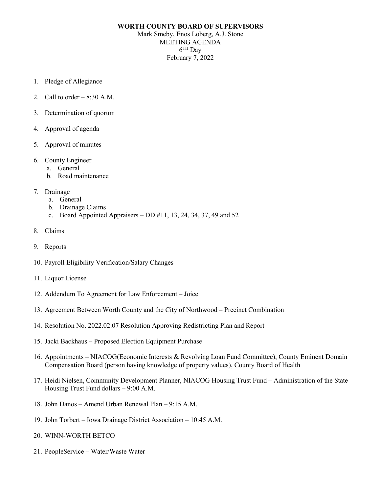## **WORTH COUNTY BOARD OF SUPERVISORS** Mark Smeby, Enos Loberg, A.J. Stone MEETING AGENDA 6TH Day February 7, 2022

- 1. Pledge of Allegiance
- 2. Call to order  $-8:30$  A.M.
- 3. Determination of quorum
- 4. Approval of agenda
- 5. Approval of minutes
- 6. County Engineer
	- a. General
	- b. Road maintenance
- 7. Drainage
	- a. General
	- b. Drainage Claims
	- c. Board Appointed Appraisers DD  $\#11$ , 13, 24, 34, 37, 49 and 52
- 8. Claims
- 9. Reports
- 10. Payroll Eligibility Verification/Salary Changes
- 11. Liquor License
- 12. Addendum To Agreement for Law Enforcement Joice
- 13. Agreement Between Worth County and the City of Northwood Precinct Combination
- 14. Resolution No. 2022.02.07 Resolution Approving Redistricting Plan and Report
- 15. Jacki Backhaus Proposed Election Equipment Purchase
- 16. Appointments NIACOG(Economic Interests & Revolving Loan Fund Committee), County Eminent Domain Compensation Board (person having knowledge of property values), County Board of Health
- 17. Heidi Nielsen, Community Development Planner, NIACOG Housing Trust Fund Administration of the State Housing Trust Fund dollars – 9:00 A.M.
- 18. John Danos Amend Urban Renewal Plan 9:15 A.M.
- 19. John Torbert Iowa Drainage District Association 10:45 A.M.
- 20. WINN-WORTH BETCO
- 21. PeopleService Water/Waste Water